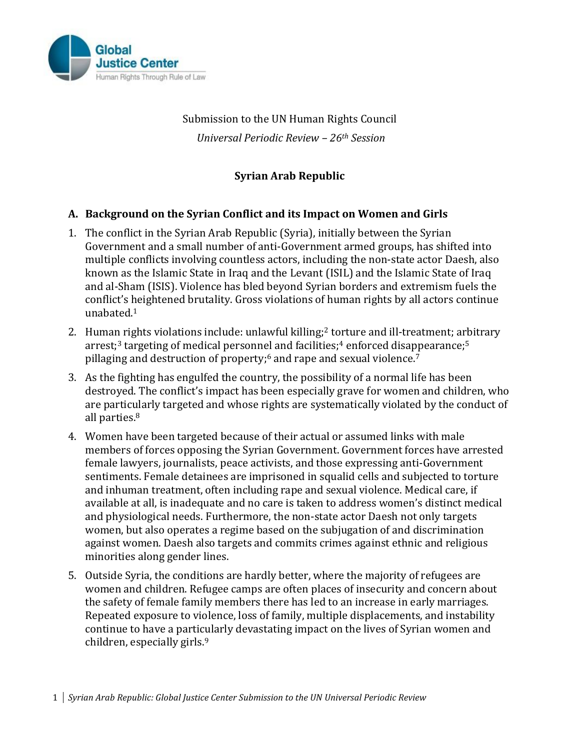

# Submission to the UN Human Rights Council *Universal Periodic Review – 26th Session*

## **Syrian Arab Republic**

#### **A. Background on the Syrian Conflict and its Impact on Women and Girls**

- 1. The conflict in the Syrian Arab Republic (Syria), initially between the Syrian Government and a small number of anti-Government armed groups, has shifted into multiple conflicts involving countless actors, including the non-state actor Daesh, also known as the Islamic State in Iraq and the Levant (ISIL) and the Islamic State of Iraq and al-Sham (ISIS). Violence has bled beyond Syrian borders and extremism fuels the conflict's heightened brutality. Gross violations of human rights by all actors continue unabated.<sup>1</sup>
- 2. Human rights violations include: unlawful killing;<sup>2</sup> torture and ill-treatment; arbitrary arrest; <sup>3</sup> targeting of medical personnel and facilities; <sup>4</sup> enforced disappearance;<sup>5</sup> pillaging and destruction of property; <sup>6</sup> and rape and sexual violence. 7
- 3. As the fighting has engulfed the country, the possibility of a normal life has been destroyed. The conflict's impact has been especially grave for women and children, who are particularly targeted and whose rights are systematically violated by the conduct of all parties.<sup>8</sup>
- 4. Women have been targeted because of their actual or assumed links with male members of forces opposing the Syrian Government. Government forces have arrested female lawyers, journalists, peace activists, and those expressing anti-Government sentiments. Female detainees are imprisoned in squalid cells and subjected to torture and inhuman treatment, often including rape and sexual violence. Medical care, if available at all, is inadequate and no care is taken to address women's distinct medical and physiological needs. Furthermore, the non-state actor Daesh not only targets women, but also operates a regime based on the subjugation of and discrimination against women. Daesh also targets and commits crimes against ethnic and religious minorities along gender lines.
- 5. Outside Syria, the conditions are hardly better, where the majority of refugees are women and children. Refugee camps are often places of insecurity and concern about the safety of female family members there has led to an increase in early marriages. Repeated exposure to violence, loss of family, multiple displacements, and instability continue to have a particularly devastating impact on the lives of Syrian women and children, especially girls. 9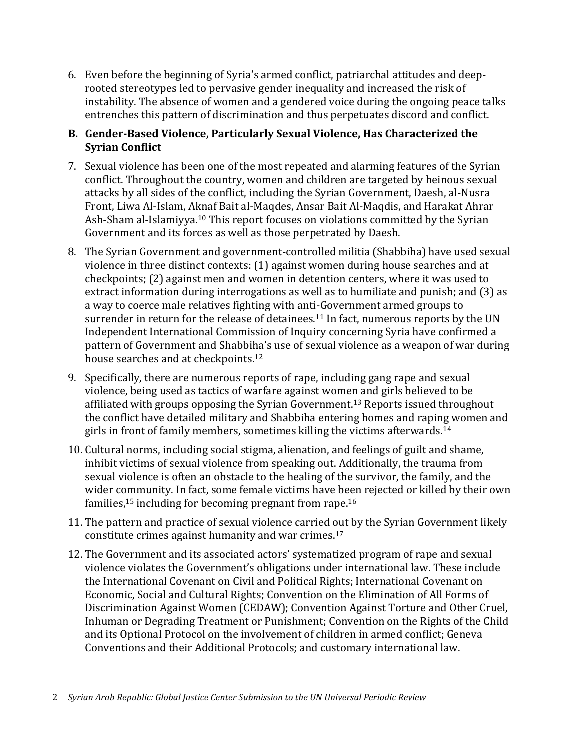6. Even before the beginning of Syria's armed conflict, patriarchal attitudes and deeprooted stereotypes led to pervasive gender inequality and increased the risk of instability. The absence of women and a gendered voice during the ongoing peace talks entrenches this pattern of discrimination and thus perpetuates discord and conflict.

## **B. Gender-Based Violence, Particularly Sexual Violence, Has Characterized the Syrian Conflict**

- 7. Sexual violence has been one of the most repeated and alarming features of the Syrian conflict. Throughout the country, women and children are targeted by heinous sexual attacks by all sides of the conflict, including the Syrian Government, Daesh, al-Nusra Front, Liwa Al-Islam, Aknaf Bait al-Maqdes, Ansar Bait Al-Maqdis, and Harakat Ahrar Ash-Sham al-Islamiyya.<sup>10</sup> This report focuses on violations committed by the Syrian Government and its forces as well as those perpetrated by Daesh.
- 8. The Syrian Government and government-controlled militia (Shabbiha) have used sexual violence in three distinct contexts: (1) against women during house searches and at checkpoints; (2) against men and women in detention centers, where it was used to extract information during interrogations as well as to humiliate and punish; and (3) as a way to coerce male relatives fighting with anti-Government armed groups to surrender in return for the release of detainees.<sup>11</sup> In fact, numerous reports by the UN Independent International Commission of Inquiry concerning Syria have confirmed a pattern of Government and Shabbiha's use of sexual violence as a weapon of war during house searches and at checkpoints.<sup>12</sup>
- 9. Specifically, there are numerous reports of rape, including gang rape and sexual violence, being used as tactics of warfare against women and girls believed to be affiliated with groups opposing the Syrian Government. <sup>13</sup> Reports issued throughout the conflict have detailed military and Shabbiha entering homes and raping women and girls in front of family members, sometimes killing the victims afterwards.<sup>14</sup>
- 10. Cultural norms, including social stigma, alienation, and feelings of guilt and shame, inhibit victims of sexual violence from speaking out. Additionally, the trauma from sexual violence is often an obstacle to the healing of the survivor, the family, and the wider community. In fact, some female victims have been rejected or killed by their own families,<sup>15</sup> including for becoming pregnant from rape.<sup>16</sup>
- 11. The pattern and practice of sexual violence carried out by the Syrian Government likely constitute crimes against humanity and war crimes.<sup>17</sup>
- 12. The Government and its associated actors' systematized program of rape and sexual violence violates the Government's obligations under international law. These include the International Covenant on Civil and Political Rights; International Covenant on Economic, Social and Cultural Rights; Convention on the Elimination of All Forms of Discrimination Against Women (CEDAW); Convention Against Torture and Other Cruel, Inhuman or Degrading Treatment or Punishment; Convention on the Rights of the Child and its Optional Protocol on the involvement of children in armed conflict; Geneva Conventions and their Additional Protocols; and customary international law.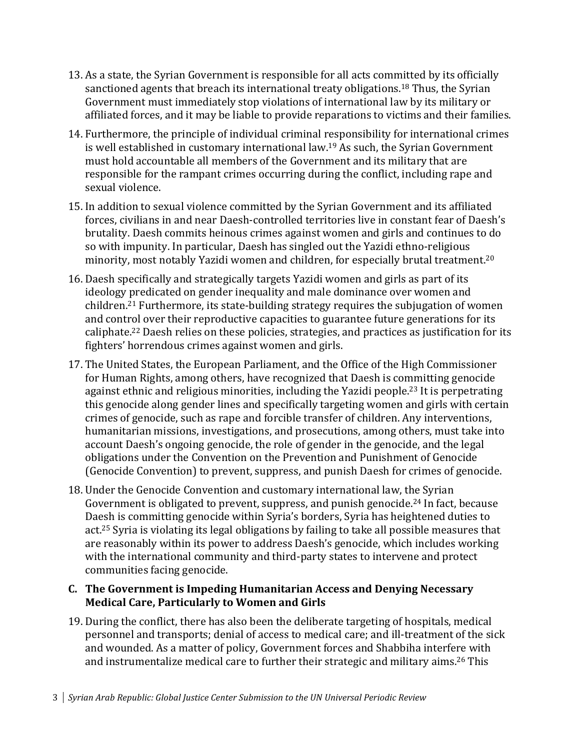- 13. As a state, the Syrian Government is responsible for all acts committed by its officially sanctioned agents that breach its international treaty obligations.<sup>18</sup> Thus, the Syrian Government must immediately stop violations of international law by its military or affiliated forces, and it may be liable to provide reparations to victims and their families.
- 14. Furthermore, the principle of individual criminal responsibility for international crimes is well established in customary international law.<sup>19</sup> As such, the Syrian Government must hold accountable all members of the Government and its military that are responsible for the rampant crimes occurring during the conflict, including rape and sexual violence.
- 15. In addition to sexual violence committed by the Syrian Government and its affiliated forces, civilians in and near Daesh-controlled territories live in constant fear of Daesh's brutality. Daesh commits heinous crimes against women and girls and continues to do so with impunity. In particular, Daesh has singled out the Yazidi ethno-religious minority, most notably Yazidi women and children, for especially brutal treatment.<sup>20</sup>
- 16. Daesh specifically and strategically targets Yazidi women and girls as part of its ideology predicated on gender inequality and male dominance over women and children.<sup>21</sup> Furthermore, its state-building strategy requires the subjugation of women and control over their reproductive capacities to guarantee future generations for its caliphate.<sup>22</sup> Daesh relies on these policies, strategies, and practices as justification for its fighters' horrendous crimes against women and girls.
- 17. The United States, the European Parliament, and the Office of the High Commissioner for Human Rights, among others, have recognized that Daesh is committing genocide against ethnic and religious minorities, including the Yazidi people. <sup>23</sup> It is perpetrating this genocide along gender lines and specifically targeting women and girls with certain crimes of genocide, such as rape and forcible transfer of children. Any interventions, humanitarian missions, investigations, and prosecutions, among others, must take into account Daesh's ongoing genocide, the role of gender in the genocide, and the legal obligations under the Convention on the Prevention and Punishment of Genocide (Genocide Convention) to prevent, suppress, and punish Daesh for crimes of genocide.
- 18. Under the Genocide Convention and customary international law, the Syrian Government is obligated to prevent, suppress, and punish genocide.<sup>24</sup> In fact, because Daesh is committing genocide within Syria's borders, Syria has heightened duties to act.<sup>25</sup> Syria is violating its legal obligations by failing to take all possible measures that are reasonably within its power to address Daesh's genocide, which includes working with the international community and third-party states to intervene and protect communities facing genocide.

#### **C. The Government is Impeding Humanitarian Access and Denying Necessary Medical Care, Particularly to Women and Girls**

19. During the conflict, there has also been the deliberate targeting of hospitals, medical personnel and transports; denial of access to medical care; and ill-treatment of the sick and wounded. As a matter of policy, Government forces and Shabbiha interfere with and instrumentalize medical care to further their strategic and military aims. <sup>26</sup> This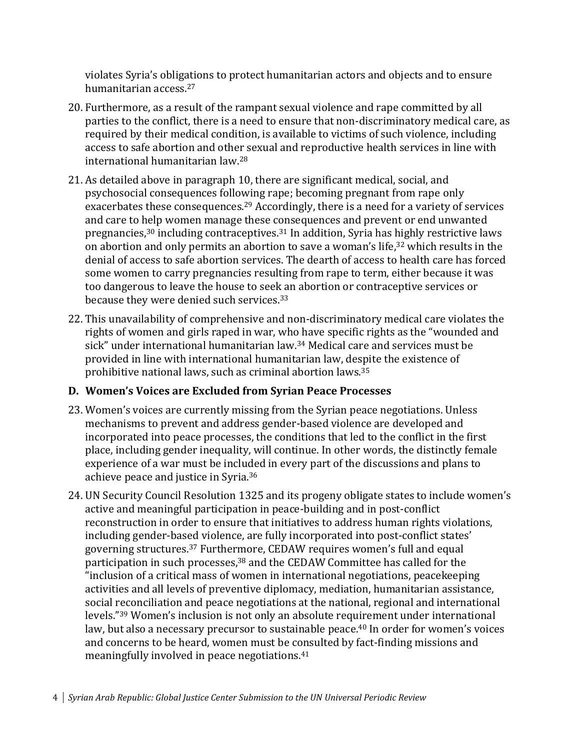violates Syria's obligations to protect humanitarian actors and objects and to ensure humanitarian access.<sup>27</sup>

- 20. Furthermore, as a result of the rampant sexual violence and rape committed by all parties to the conflict, there is a need to ensure that non-discriminatory medical care, as required by their medical condition, is available to victims of such violence, including access to safe abortion and other sexual and reproductive health services in line with international humanitarian law.<sup>28</sup>
- 21. As detailed above in paragraph 10, there are significant medical, social, and psychosocial consequences following rape; becoming pregnant from rape only exacerbates these consequences.<sup>29</sup> Accordingly, there is a need for a variety of services and care to help women manage these consequences and prevent or end unwanted pregnancies, <sup>30</sup> including contraceptives. <sup>31</sup> In addition, Syria has highly restrictive laws on abortion and only permits an abortion to save a woman's life, <sup>32</sup> which results in the denial of access to safe abortion services. The dearth of access to health care has forced some women to carry pregnancies resulting from rape to term, either because it was too dangerous to leave the house to seek an abortion or contraceptive services or because they were denied such services.<sup>33</sup>
- 22. This unavailability of comprehensive and non-discriminatory medical care violates the rights of women and girls raped in war, who have specific rights as the "wounded and sick" under international humanitarian law. <sup>34</sup> Medical care and services must be provided in line with international humanitarian law, despite the existence of prohibitive national laws, such as criminal abortion laws.<sup>35</sup>

## **D. Women's Voices are Excluded from Syrian Peace Processes**

- 23. Women's voices are currently missing from the Syrian peace negotiations. Unless mechanisms to prevent and address gender-based violence are developed and incorporated into peace processes, the conditions that led to the conflict in the first place, including gender inequality, will continue. In other words, the distinctly female experience of a war must be included in every part of the discussions and plans to achieve peace and justice in Syria.<sup>36</sup>
- 24. UN Security Council Resolution 1325 and its progeny obligate states to include women's active and meaningful participation in peace-building and in post-conflict reconstruction in order to ensure that initiatives to address human rights violations, including gender-based violence, are fully incorporated into post-conflict states' governing structures.<sup>37</sup> Furthermore, CEDAW requires women's full and equal participation in such processes, <sup>38</sup> and the CEDAW Committee has called for the "inclusion of a critical mass of women in international negotiations, peacekeeping activities and all levels of preventive diplomacy, mediation, humanitarian assistance, social reconciliation and peace negotiations at the national, regional and international levels." <sup>39</sup> Women's inclusion is not only an absolute requirement under international law, but also a necessary precursor to sustainable peace. <sup>40</sup> In order for women's voices and concerns to be heard, women must be consulted by fact-finding missions and meaningfully involved in peace negotiations.<sup>41</sup>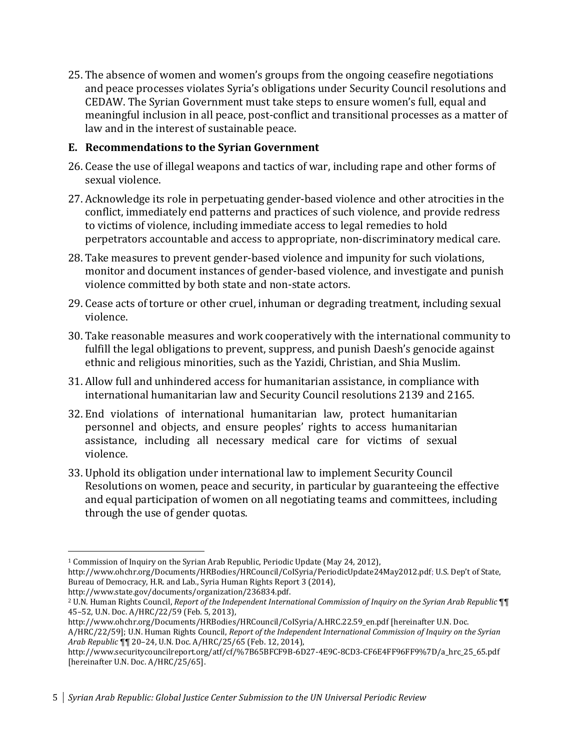25. The absence of women and women's groups from the ongoing ceasefire negotiations and peace processes violates Syria's obligations under Security Council resolutions and CEDAW. The Syrian Government must take steps to ensure women's full, equal and meaningful inclusion in all peace, post-conflict and transitional processes as a matter of law and in the interest of sustainable peace.

### **E. Recommendations to the Syrian Government**

- 26. Cease the use of illegal weapons and tactics of war, including rape and other forms of sexual violence.
- 27. Acknowledge its role in perpetuating gender-based violence and other atrocities in the conflict, immediately end patterns and practices of such violence, and provide redress to victims of violence, including immediate access to legal remedies to hold perpetrators accountable and access to appropriate, non-discriminatory medical care.
- 28. Take measures to prevent gender-based violence and impunity for such violations, monitor and document instances of gender-based violence, and investigate and punish violence committed by both state and non-state actors.
- 29. Cease acts of torture or other cruel, inhuman or degrading treatment, including sexual violence.
- 30. Take reasonable measures and work cooperatively with the international community to fulfill the legal obligations to prevent, suppress, and punish Daesh's genocide against ethnic and religious minorities, such as the Yazidi, Christian, and Shia Muslim.
- 31. Allow full and unhindered access for humanitarian assistance, in compliance with international humanitarian law and Security Council resolutions 2139 and 2165.
- 32. End violations of international humanitarian law, protect humanitarian personnel and objects, and ensure peoples' rights to access humanitarian assistance, including all necessary medical care for victims of sexual violence.
- 33. Uphold its obligation under international law to implement Security Council Resolutions on women, peace and security, in particular by guaranteeing the effective and equal participation of women on all negotiating teams and committees, including through the use of gender quotas.

 $\overline{a}$ 

<sup>1</sup> Commission of Inquiry on the Syrian Arab Republic, Periodic Update (May 24, 2012), http://www.ohchr.org/Documents/HRBodies/HRCouncil/CoISyria/PeriodicUpdate24May2012.pdf; U.S. Dep't of State, Bureau of Democracy, H.R. and Lab., Syria Human Rights Report 3 (2014), http://www.state.gov/documents/organization/236834.pdf.

<sup>2</sup> U.N. Human Rights Council, *Report of the Independent International Commission of Inquiry on the Syrian Arab Republic* ¶¶ 45–52, U.N. Doc. A/HRC/22/59 (Feb. 5, 2013),

http://www.ohchr.org/Documents/HRBodies/HRCouncil/CoISyria/A.HRC.22.59\_en.pdf [hereinafter U.N. Doc. A/HRC/22/59]; U.N. Human Rights Council, *Report of the Independent International Commission of Inquiry on the Syrian Arab Republic* ¶¶ 20–24, U.N. Doc. A/HRC/25/65 (Feb. 12, 2014),

http://www.securitycouncilreport.org/atf/cf/%7B65BFCF9B-6D27-4E9C-8CD3-CF6E4FF96FF9%7D/a\_hrc\_25\_65.pdf [hereinafter U.N. Doc. A/HRC/25/65].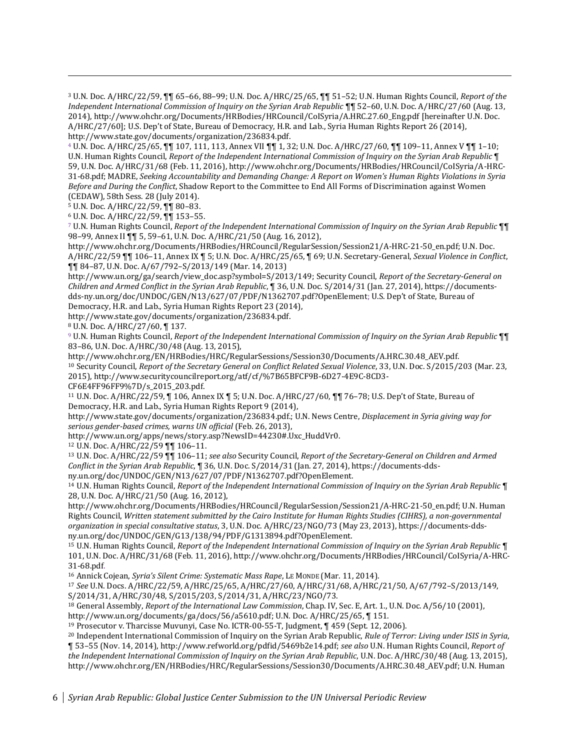<sup>3</sup> U.N. Doc. A/HRC/22/59, ¶¶ 65–66, 88–99; U.N. Doc. A/HRC/25/65, ¶¶ 51–52; U.N. Human Rights Council, *Report of the Independent International Commission of Inquiry on the Syrian Arab Republic* ¶¶ 52–60, U.N. Doc. A/HRC/27/60 (Aug. 13, 2014), http://www.ohchr.org/Documents/HRBodies/HRCouncil/CoISyria/A.HRC.27.60\_Eng.pdf [hereinafter U.N. Doc. A/HRC/27/60]; U.S. Dep't of State, Bureau of Democracy, H.R. and Lab., Syria Human Rights Report 26 (2014), http://www.state.gov/documents/organization/236834.pdf.

<sup>4</sup> U.N. Doc. A/HRC/25/65, ¶¶ 107, 111, 113, Annex VII ¶¶ 1, 32; U.N. Doc. A/HRC/27/60, ¶¶ 109–11, Annex V ¶¶ 1–10; U.N. Human Rights Council, *Report of the Independent International Commission of Inquiry on the Syrian Arab Republic* ¶ 59, U.N. Doc. A/HRC/31/68 (Feb. 11, 2016), http://www.ohchr.org/Documents/HRBodies/HRCouncil/CoISyria/A-HRC-31-68.pdf; MADRE, *Seeking Accountability and Demanding Change: A Report on Women's Human Rights Violations in Syria Before and During the Conflict*, Shadow Report to the Committee to End All Forms of Discrimination against Women (CEDAW), 58th Sess. 28 (July 2014).

<sup>5</sup> U.N. Doc. A/HRC/22/59, ¶¶ 80–83.

 $\overline{a}$ 

<sup>6</sup> U.N. Doc. A/HRC/22/59, ¶¶ 153–55.

<sup>7</sup> U.N. Human Rights Council, *Report of the Independent International Commission of Inquiry on the Syrian Arab Republic* ¶¶ 98–99, Annex II ¶¶ 5, 59–61, U.N. Doc. A/HRC/21/50 (Aug. 16, 2012),

http://www.ohchr.org/Documents/HRBodies/HRCouncil/RegularSession/Session21/A-HRC-21-50\_en.pdf; U.N. Doc. A/HRC/22/59 ¶¶ 106–11, Annex IX ¶ 5; U.N. Doc. A/HRC/25/65, ¶ 69; U.N. Secretary-General, *Sexual Violence in Conflict*, ¶¶ 84–87, U.N. Doc. A/67/792–S/2013/149 (Mar. 14, 2013)

http://www.un.org/ga/search/view\_doc.asp?symbol=S/2013/149; Security Council, *Report of the Secretary-General on Children and Armed Conflict in the Syrian Arab Republic*, ¶ 36, U.N. Doc. S/2014/31 (Jan. 27, 2014), https://documentsdds-ny.un.org/doc/UNDOC/GEN/N13/627/07/PDF/N1362707.pdf?OpenElement; U.S. Dep't of State, Bureau of Democracy, H.R. and Lab., Syria Human Rights Report 23 (2014),

http://www.state.gov/documents/organization/236834.pdf.

<sup>8</sup> U.N. Doc. A/HRC/27/60, ¶ 137.

<sup>9</sup> U.N. Human Rights Council, *Report of the Independent International Commission of Inquiry on the Syrian Arab Republic* ¶¶ 83–86, U.N. Doc. A/HRC/30/48 (Aug. 13, 2015),

http://www.ohchr.org/EN/HRBodies/HRC/RegularSessions/Session30/Documents/A.HRC.30.48\_AEV.pdf. <sup>10</sup> Security Council, *Report of the Secretary General on Conflict Related Sexual Violence*, 33, U.N. Doc. S/2015/203 (Mar. 23, 2015), http://www.securitycouncilreport.org/atf/cf/%7B65BFCF9B-6D27-4E9C-8CD3- CF6E4FF96FF9%7D/s\_2015\_203.pdf.

<sup>11</sup> U.N. Doc. A/HRC/22/59, ¶ 106, Annex IX ¶ 5; U.N. Doc. A/HRC/27/60, ¶¶ 76–78; U.S. Dep't of State, Bureau of Democracy, H.R. and Lab., Syria Human Rights Report 9 (2014),

http://www.state.gov/documents/organization/236834.pdf.; U.N. News Centre, *Displacement in Syria giving way for serious gender-based crimes, warns UN official* (Feb. 26, 2013),

http://www.un.org/apps/news/story.asp?NewsID=44230#.Uxc\_HuddVr0.

<sup>12</sup> U.N. Doc. A/HRC/22/59 ¶¶ 106–11.

<sup>13</sup> U.N. Doc. A/HRC/22/59 ¶¶ 106–11; *see also* Security Council, *Report of the Secretary-General on Children and Armed Conflict in the Syrian Arab Republic*, ¶ 36, U.N. Doc. S/2014/31 (Jan. 27, 2014), https://documents-ddsny.un.org/doc/UNDOC/GEN/N13/627/07/PDF/N1362707.pdf?OpenElement.

<sup>14</sup> U.N. Human Rights Council, *Report of the Independent International Commission of Inquiry on the Syrian Arab Republic* ¶ 28, U.N. Doc. A/HRC/21/50 (Aug. 16, 2012),

http://www.ohchr.org/Documents/HRBodies/HRCouncil/RegularSession/Session21/A-HRC-21-50\_en.pdf; U.N. Human Rights Council, *Written statement submitted by the Cairo Institute for Human Rights Studies (CIHRS), a non-governmental organization in special consultative status*, 3, U.N. Doc. A/HRC/23/NGO/73 (May 23, 2013), https://documents-ddsny.un.org/doc/UNDOC/GEN/G13/138/94/PDF/G1313894.pdf?OpenElement.

<sup>15</sup> U.N. Human Rights Council, *Report of the Independent International Commission of Inquiry on the Syrian Arab Republic* ¶ 101, U.N. Doc. A/HRC/31/68 (Feb. 11, 2016), http://www.ohchr.org/Documents/HRBodies/HRCouncil/CoISyria/A-HRC-31-68.pdf.

<sup>16</sup> Annick Cojean, *Syria's Silent Crime: Systematic Mass Rape*, LE MONDE (Mar. 11, 2014).

<sup>17</sup> *See* U.N. Docs. A/HRC/22/59, A/HRC/25/65, A/HRC/27/60, A/HRC/31/68, A/HRC/21/50, A/67/792–S/2013/149, S/2014/31, A/HRC/30/48, S/2015/203, S/2014/31, A/HRC/23/NGO/73.

<sup>18</sup> General Assembly, *Report of the International Law Commission*, Chap. IV, Sec. E, Art. 1., U.N. Doc. A/56/10 (2001),

http://www.un.org/documents/ga/docs/56/a5610.pdf; U.N. Doc. A/HRC/25/65, ¶ 151.

<sup>19</sup> Prosecutor v. Tharcisse Muvunyi, Case No. ICTR-00-55-T, Judgment, ¶ 459 (Sept. 12, 2006).

<sup>20</sup> Independent International Commission of Inquiry on the Syrian Arab Republic, *Rule of Terror: Living under ISIS in Syria*, ¶ 53–55 (Nov. 14, 2014), http://www.refworld.org/pdfid/5469b2e14.pdf; *see also* U.N. Human Rights Council, *Report of the Independent International Commission of Inquiry on the Syrian Arab Republic*, U.N. Doc. A/HRC/30/48 (Aug. 13, 2015), http://www.ohchr.org/EN/HRBodies/HRC/RegularSessions/Session30/Documents/A.HRC.30.48\_AEV.pdf; U.N. Human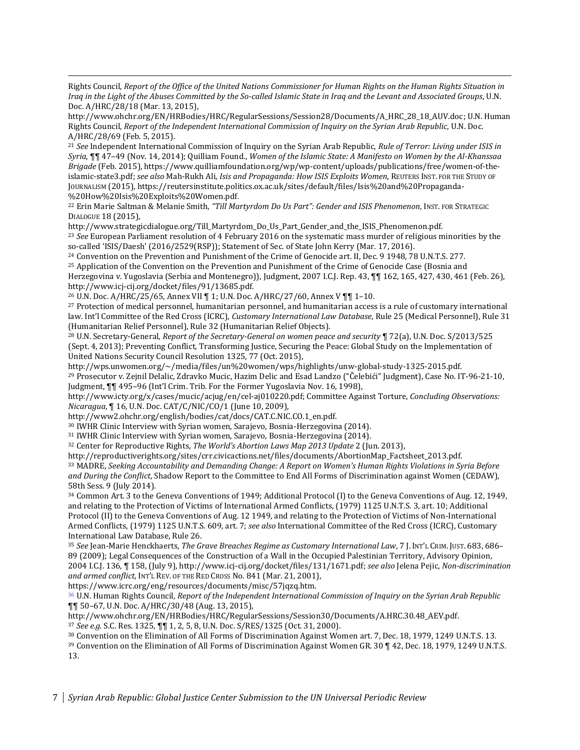Rights Council, *Report of the Office of the United Nations Commissioner for Human Rights on the Human Rights Situation in Iraq in the Light of the Abuses Committed by the So-called Islamic State in Iraq and the Levant and Associated Groups*, U.N. Doc. A/HRC/28/18 (Mar. 13, 2015),

http://www.ohchr.org/EN/HRBodies/HRC/RegularSessions/Session28/Documents/A\_HRC\_28\_18\_AUV.doc; U.N. Human Rights Council, *Report of the Independent International Commission of Inquiry on the Syrian Arab Republic*, U.N. Doc. A/HRC/28/69 (Feb. 5, 2015).

<sup>21</sup> *See* Independent International Commission of Inquiry on the Syrian Arab Republic, *Rule of Terror: Living under ISIS in Syria*, ¶¶ 47–49 (Nov. 14, 2014); Quilliam Found., *Women of the Islamic State: A Manifesto on Women by the Al-Khanssaa Brigade* (Feb. 2015), https://www.quilliamfoundation.org/wp/wp-content/uploads/publications/free/women-of-theislamic-state3.pdf; *see also* Mah-Rukh Ali, *Isis and Propaganda: How ISIS Exploits Women*, REUTERS INST. FOR THE STUDY OF JOURNALISM (2015), https://reutersinstitute.politics.ox.ac.uk/sites/default/files/Isis%20and%20Propaganda- %20How%20Isis%20Exploits%20Women.pdf.

<sup>22</sup> Erin Marie Saltman & Melanie Smith, *"Till Martyrdom Do Us Part": Gender and ISIS Phenomenon*, INST. FOR STRATEGIC DIALOGUE 18 (2015),

http://www.strategicdialogue.org/Till\_Martyrdom\_Do\_Us\_Part\_Gender\_and\_the\_ISIS\_Phenomenon.pdf.

<sup>23</sup> *See* European Parliament resolution of 4 February 2016 on the systematic mass murder of religious minorities by the so-called 'ISIS/Daesh' (2016/2529(RSP)); Statement of Sec. of State John Kerry (Mar. 17, 2016).

<sup>24</sup> Convention on the Prevention and Punishment of the Crime of Genocide art. II, Dec. 9 1948, 78 U.N.T.S. 277.

<sup>25</sup> Application of the Convention on the Prevention and Punishment of the Crime of Genocide Case (Bosnia and Herzegovina v. Yugoslavia (Serbia and Montenegro)), Judgment, 2007 I.C.J. Rep. 43, ¶¶ 162, 165, 427, 430, 461 (Feb. 26), http://www.icj-cij.org/docket/files/91/13685.pdf.

<sup>26</sup> U.N. Doc. A/HRC/25/65, Annex VII ¶ 1; U.N. Doc. A/HRC/27/60, Annex V ¶¶ 1–10.

 $\overline{a}$ 

<sup>27</sup> Protection of medical personnel, humanitarian personnel, and humanitarian access is a rule of customary international law. Int'l Committee of the Red Cross (ICRC), *Customary International Law Database*, Rule 25 (Medical Personnel), Rule 31 (Humanitarian Relief Personnel), Rule 32 (Humanitarian Relief Objects).

<sup>28</sup> U.N. Secretary-General, *Report of the Secretary-General on women peace and security* ¶ 72(a), U.N. Doc. S/2013/525 (Sept. 4, 2013); Preventing Conflict, Transforming Justice, Securing the Peace: Global Study on the Implementation of United Nations Security Council Resolution 1325, 77 (Oct. 2015),

http://wps.unwomen.org/~/media/files/un%20women/wps/highlights/unw-global-study-1325-2015.pdf. <sup>29</sup> Prosecutor v. Zejnil Delalic, Zdravko Mucic, Hazim Delic and Esad Landzo ("Čelebići" Judgment), Case No. IT-96-21-10, Judgment, ¶¶ 495–96 (Int'l Crim. Trib. For the Former Yugoslavia Nov. 16, 1998),

http://www.icty.org/x/cases/mucic/acjug/en/cel-aj010220.pdf; Committee Against Torture, *Concluding Observations: Nicaragua*, ¶ 16, U.N. Doc. CAT/C/NIC/CO/1 (June 10, 2009),

http://www2.ohchr.org/english/bodies/cat/docs/CAT.C.NIC.CO.1\_en.pdf.

<sup>30</sup> IWHR Clinic Interview with Syrian women, Sarajevo, Bosnia-Herzegovina (2014).

<sup>31</sup> IWHR Clinic Interview with Syrian women, Sarajevo, Bosnia-Herzegovina (2014).

<sup>32</sup> Center for Reproductive Rights, *The World's Abortion Laws Map 2013 Update* 2 (Jun. 2013),

http://reproductiverights.org/sites/crr.civicactions.net/files/documents/AbortionMap\_Factsheet\_2013.pdf.

<sup>33</sup> MADRE, *Seeking Accountability and Demanding Change: A Report on Women's Human Rights Violations in Syria Before and During the Conflict*, Shadow Report to the Committee to End All Forms of Discrimination against Women (CEDAW), 58th Sess. 9 (July 2014).

<sup>34</sup> Common Art. 3 to the Geneva Conventions of 1949; Additional Protocol (I) to the Geneva Conventions of Aug. 12, 1949, and relating to the Protection of Victims of International Armed Conflicts, (1979) 1125 U.N.T.S. 3, art. 10; Additional Protocol (II) to the Geneva Conventions of Aug. 12 1949, and relating to the Protection of Victims of Non-International Armed Conflicts, (1979) 1125 U.N.T.S. 609, art. 7; *see also* International Committee of the Red Cross (ICRC), Customary International Law Database, Rule 26.

<sup>35</sup> *See* Jean-Marie Henckhaerts, *The Grave Breaches Regime as Customary International Law*, 7 J. INT'L CRIM. JUST. 683, 686– 89 (2009); Legal Consequences of the Construction of a Wall in the Occupied Palestinian Territory, Advisory Opinion, 2004 I.C.J. 136, ¶ 158, (July 9), http://www.icj-cij.org/docket/files/131/1671.pdf; *see also* Jelena Pejic, *Non-discrimination and armed conflict*, INT'L REV. OF THE RED CROSS No. 841 (Mar. 21, 2001),

https://www.icrc.org/eng/resources/documents/misc/57jqzq.htm.

<sup>36</sup> U.N. Human Rights Council, *Report of the Independent International Commission of Inquiry on the Syrian Arab Republic* ¶¶ 50–67, U.N. Doc. A/HRC/30/48 (Aug. 13, 2015),

http://www.ohchr.org/EN/HRBodies/HRC/RegularSessions/Session30/Documents/A.HRC.30.48\_AEV.pdf.

<sup>37</sup> *See e.g.* S.C. Res. 1325, ¶¶ 1, 2, 5, 8, U.N. Doc. S/RES/1325 (Oct. 31, 2000).

<sup>38</sup> Convention on the Elimination of All Forms of Discrimination Against Women art. 7, Dec. 18, 1979, 1249 U.N.T.S. 13.

<sup>39</sup> Convention on the Elimination of All Forms of Discrimination Against Women GR. 30 ¶ 42, Dec. 18, 1979, 1249 U.N.T.S. 13.